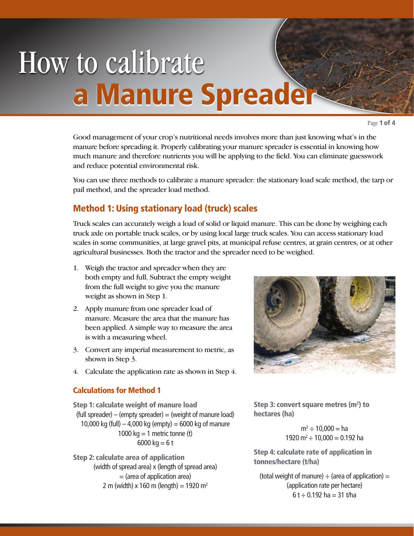# How to calibrate a Manure Spread

Page 1 of 4

Good management of your crop's nutritional needs involves more than just knowing what's in the manure before spreading it. Properly calibrating your manure spreader is essential in knowing how much manure and therefore nutrients you will be applying to the field. You can eliminate guesswork and reduce potential environmental risk.

You can use three methods to calibrate a manure spreader: the stationary load scale method, the tarp or pail method, and the spreader load method.

# Method 1: Using stationary load (truck) scales

Truck scales can accurately weigh a load of solid or liquid manure. This can be done by weighing each truck axle on portable truck scales, or by using local large truck scales. You can access stationary load scales in some communities, at large gravel pits, at municipal refuse centres, at grain centres, or at other agricultural businesses. Both the tractor and the spreader need to be weighed.

- 1. Weigh the tractor and spreader when they are both empty and full. Subtract the empty weight from the full weight to give you the manure weight as shown in Step 1.
- 2. Apply manure from one spreader load of manure. Measure the area that the manure has been applied. A simple way to measure the area is with a measuring wheel.
- 3. Convert any imperial measurement to metric, as shown in Step 3.
- 4. Calculate the application rate as shown in Step 4.

#### Calculations for Method 1

Step 1: calculate weight of manure load  $(full$  spreader) – (empty spreader) = (weight of manure load) 10,000 kg (full)  $-4,000$  kg (empty) = 6000 kg of manure 1000 kg  $=$  1 metric tonne (t) 6000 kg  $= 6t$ 

Step 2: calculate area of application (width of spread area) x (length of spread area) = (area of application area) 2 m (width) x 160 m (length) = 1920 m<sup>2</sup>



Step 3: convert square metres (m<sup>2</sup>) to hectares (ha)

> m2 ÷ 10,000 = ha 1920 m<sup>2</sup>  $\div$  10,000 = 0.192 ha

Step 4: calculate rate of application in tonnes/hectare (t/ha)

```
(total weight of manure) \div (area of application) =
(application rate per hectare)
  6 t \div 0.192 ha = 31 t/ha
```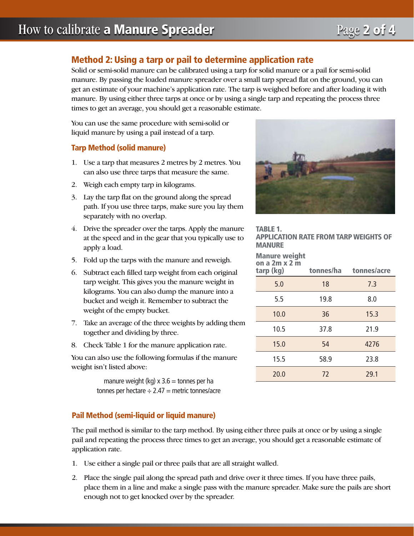# How to calibrate **a Manure Spreader** Page 2 of 4

### Method 2: Using a tarp or pail to determine application rate

Solid or semi-solid manure can be calibrated using a tarp for solid manure or a pail for semi-solid manure. By passing the loaded manure spreader over a small tarp spread flat on the ground, you can get an estimate of your machine's application rate. The tarp is weighed before and after loading it with manure. By using either three tarps at once or by using a single tarp and repeating the process three times to get an average, you should get a reasonable estimate.

You can use the same procedure with semi-solid or liquid manure by using a pail instead of a tarp.

#### Tarp Method (solid manure)

- 1. Use a tarp that measures 2 metres by 2 metres. You can also use three tarps that measure the same.
- 2. Weigh each empty tarp in kilograms.
- 3. Lay the tarp flat on the ground along the spread path. If you use three tarps, make sure you lay them separately with no overlap.
- 4. Drive the spreader over the tarps. Apply the manure at the speed and in the gear that you typically use to apply a load.
- 5. Fold up the tarps with the manure and reweigh.
- 6. Subtract each filled tarp weight from each original tarp weight. This gives you the manure weight in kilograms. You can also dump the manure into a bucket and weigh it. Remember to subtract the weight of the empty bucket.
- 7. Take an average of the three weights by adding them together and dividing by three.
- 8. Check Table 1 for the manure application rate.

You can also use the following formulas if the manure weight isn't listed above:

> manure weight (kg)  $x$  3.6 = tonnes per ha tonnes per hectare  $\div$  2.47 = metric tonnes/acre

#### Pail Method (semi-liquid or liquid manure)

The pail method is similar to the tarp method. By using either three pails at once or by using a single pail and repeating the process three times to get an average, you should get a reasonable estimate of application rate.

- 1. Use either a single pail or three pails that are all straight walled.
- 2. Place the single pail along the spread path and drive over it three times. If you have three pails, place them in a line and make a single pass with the manure spreader. Make sure the pails are short enough not to get knocked over by the spreader.



#### TABLE 1.

APPLICATION RATE FROM TARP WEIGHTS OF **MANURE** 

Manure weight

| on a $2m \times 2m$<br>tarp (kg) | tonnes/ha | tonnes/acre |
|----------------------------------|-----------|-------------|
| 5.0                              | 18        | 7.3         |
| 5.5                              | 19.8      | 8.0         |
| 10.0                             | 36        | 15.3        |
| 10.5                             | 37.8      | 21.9        |
| 15.0                             | 54        | 4276        |
| 15.5                             | 58.9      | 23.8        |
| 20.0                             | 72        | 29.1        |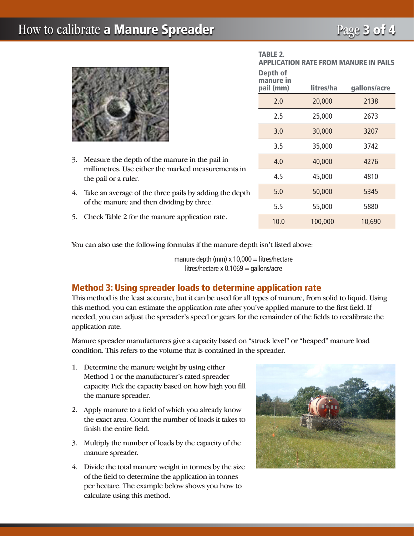# How to calibrate **a Manure Spreader** Page 3 of 4



- 3. Measure the depth of the manure in the pail in millimetres. Use either the marked measurements in the pail or a ruler.
- 4. Take an average of the three pails by adding the depth of the manure and then dividing by three.
- 5. Check Table 2 for the manure application rate.

#### TABLE 2. APPLICATION RATE FROM MANURE IN PAILS

| litres/ha | gallons/acre |
|-----------|--------------|
| 20,000    | 2138         |
| 25,000    | 2673         |
| 30,000    | 3207         |
| 35,000    | 3742         |
| 40,000    | 4276         |
| 45,000    | 4810         |
| 50,000    | 5345         |
| 55,000    | 5880         |
| 100,000   | 10,690       |
|           |              |

You can also use the following formulas if the manure depth isn't listed above:

manure depth (mm)  $x$  10,000 = litres/hectare litres/hectare x  $0.1069$  = gallons/acre

## Method 3: Using spreader loads to determine application rate

This method is the least accurate, but it can be used for all types of manure, from solid to liquid. Using this method, you can estimate the application rate after you've applied manure to the first field. If needed, you can adjust the spreader's speed or gears for the remainder of the fields to recalibrate the application rate.

Manure spreader manufacturers give a capacity based on "struck level" or "heaped" manure load condition. This refers to the volume that is contained in the spreader.

- 1. Determine the manure weight by using either Method 1 or the manufacturer's rated spreader capacity. Pick the capacity based on how high you fill the manure spreader.
- 2. Apply manure to a field of which you already know the exact area. Count the number of loads it takes to finish the entire field.
- 3. Multiply the number of loads by the capacity of the manure spreader.
- 4. Divide the total manure weight in tonnes by the size of the field to determine the application in tonnes per hectare. The example below shows you how to calculate using this method.